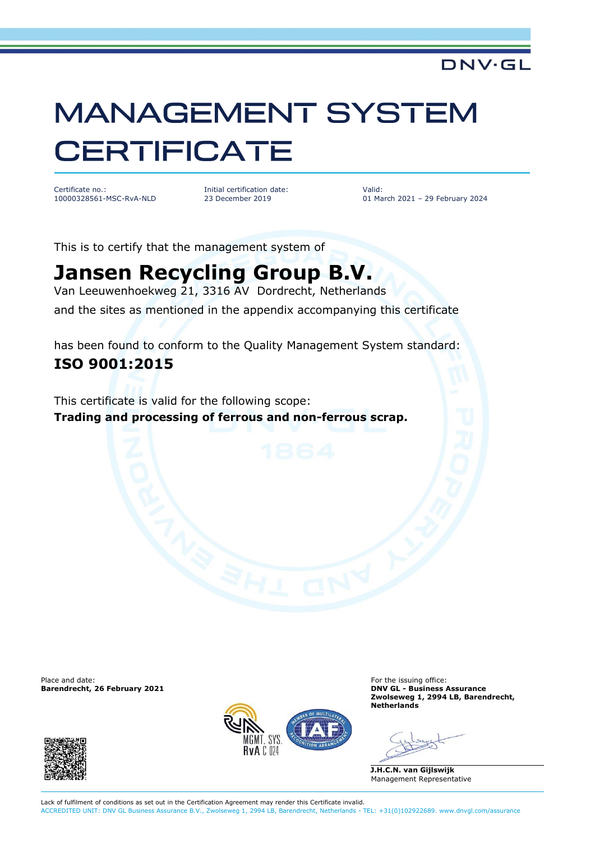## **MANAGEMENT SYSTEM CERTIFICATE**

Certificate no.: 10000328561-MSC-RvA-NLD Initial certification date: 23 December 2019

Valid: 01 March 2021 – 29 February 2024

**DNV·GL** 

This is to certify that the management system of

## **Jansen Recycling Group B.V.**

Van Leeuwenhoekweg 21, 3316 AV Dordrecht, Netherlands and the sites as mentioned in the appendix accompanying this certificate

has been found to conform to the Quality Management System standard: **ISO 9001:2015**

This certificate is valid for the following scope: **Trading and processing of ferrous and non-ferrous scrap.**

Place and date:<br> **Barendrecht, 26 February 2021** Consultant and the intervals of the issuing office:<br> **Barendrecht, 26 February 2021 Barendrecht, 26 February 2021** 





**Zwolseweg 1, 2994 LB, Barendrecht, Netherlands**

**J.H.C.N. van Gijlswijk** Management Representative

Lack of fulfilment of conditions as set out in the Certification Agreement may render this Certificate invalid. ACCREDITED UNIT: DNV GL Business Assurance B.V., Zwolseweg 1, 2994 LB, Barendrecht, Netherlands - TEL: +31(0)102922689. www.dnvgl.com/assurance